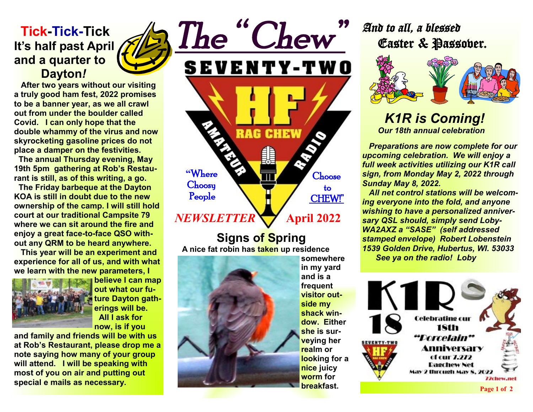### **Tick-Tick-Tick It's half past April and a quarter to Dayton***!*

 **After two years without our visiting a truly good ham fest, 2022 promises to be a banner year, as we all crawl out from under the boulder called Covid. I can only hope that the double whammy of the virus and now skyrocketing gasoline prices do not place a damper on the festivities.** 

 **The annual Thursday evening, May 19th 5pm gathering at Rob's Restaurant is still, as of this writing, a go.** 

 **The Friday barbeque at the Dayton KOA is still in doubt due to the new ownership of the camp. I will still hold court at our traditional Campsite 79 where we can sit around the fire and enjoy a great face-to-face QSO without any QRM to be heard anywhere.** 

 **This year will be an experiment and experience for all of us, and with what we learn with the new parameters, I** 



**believe I can map out what our future Dayton gatherings will be. All I ask for now, is if you** 

**and family and friends will be with us at Rob's Restaurant, please drop me a note saying how many of your group will attend. I will be speaking with most of you on air and putting out special e mails as necessary.** 

**RAG CHEW "**Where **Choose Choosy**  to People CHEW!" *NEWSLETTER* **April 2022**

*The " Chew"* 

**SEVENTY-TWO** 

 **Signs of Spring A nice fat robin has taken up residence** 



**somewhere in my yard and is a frequent visitor outside my shack window. Either she is surveying her realm or looking for a nice juicy worm for breakfast.** 

# *And to all, a blessed* Easter & Passover.



### *K1R is Coming! Our 18th annual celebration*

 *Preparations are now complete for our upcoming celebration. We will enjoy a full week activities utilizing our K1R call sign, from Monday May 2, 2022 through Sunday May 8, 2022.* 

 *All net control stations will be welcoming everyone into the fold, and anyone wishing to have a personalized anniversary QSL should, simply send Loby-WA2AXZ a "SASE" (self addressed stamped envelope) Robert Lobenstein 1539 Golden Drive, Hubertus, WI. 53033 See ya on the radio! Loby*